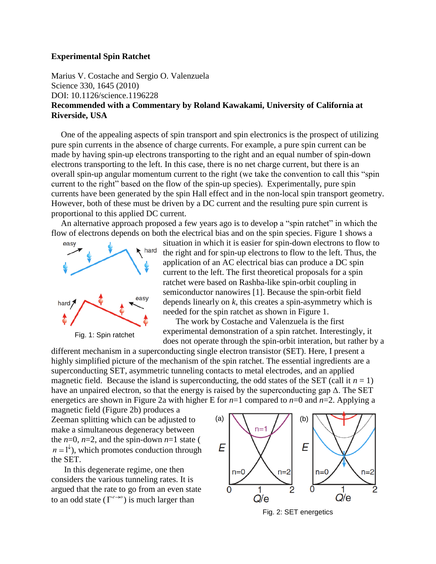## **Experimental Spin Ratchet**

Marius V. Costache and Sergio O. Valenzuela Science 330, 1645 (2010) DOI: 10.1126/science.1196228 **Recommended with a Commentary by Roland Kawakami, University of California at Riverside, USA**

One of the appealing aspects of spin transport and spin electronics is the prospect of utilizing pure spin currents in the absence of charge currents. For example, a pure spin current can be made by having spin-up electrons transporting to the right and an equal number of spin-down electrons transporting to the left. In this case, there is no net charge current, but there is an overall spin-up angular momentum current to the right (we take the convention to call this "spin current to the right" based on the flow of the spin-up species). Experimentally, pure spin currents have been generated by the spin Hall effect and in the non-local spin transport geometry. However, both of these must be driven by a DC current and the resulting pure spin current is proportional to this applied DC current.

An alternative approach proposed a few years ago is to develop a "spin ratchet" in which the flow of electrons depends on both the electrical bias and on the spin species. Figure 1 shows a





situation in which it is easier for spin-down electrons to flow to the right and for spin-up electrons to flow to the left. Thus, the application of an AC electrical bias can produce a DC spin current to the left. The first theoretical proposals for a spin ratchet were based on Rashba-like spin-orbit coupling in semiconductor nanowires [1]. Because the spin-orbit field depends linearly on *k*, this creates a spin-asymmetry which is needed for the spin ratchet as shown in Figure 1.

The work by Costache and Valenzuela is the first experimental demonstration of a spin ratchet. Interestingly, it does not operate through the spin-orbit interation, but rather by a

different mechanism in a superconducting single electron transistor (SET). Here, I present a highly simplified picture of the mechanism of the spin ratchet. The essential ingredients are a superconducting SET, asymmetric tunneling contacts to metal electrodes, and an applied magnetic field. Because the island is superconducting, the odd states of the SET (call it  $n = 1$ ) have an unpaired electron, so that the energy is raised by the superconducting gap  $\Delta$ . The SET energetics are shown in Figure 2a with higher E for  $n=1$  compared to  $n=0$  and  $n=2$ . Applying a

magnetic field (Figure 2b) produces a Zeeman splitting which can be adjusted to make a simultaneous degeneracy between the  $n=0$ ,  $n=2$ , and the spin-down  $n=1$  state (  $n = 1^{\circ}$ , which promotes conduction through the SET.

In this degenerate regime, one then considers the various tunneling rates. It is argued that the rate to go from an even state to an odd state  $(\Gamma^{e\rightarrow o})$  is much larger than